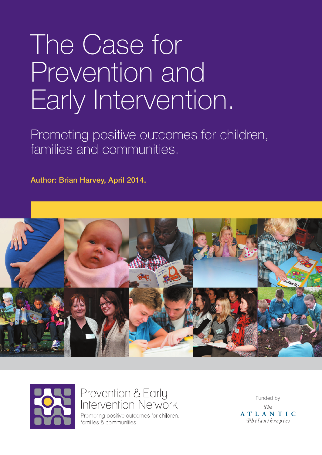# The Case for Prevention and Early Intervention.

Promoting positive outcomes for children, families and communities.

Author: Brian Harvey, April 2014.





# Prevention & Early Intervention Network

Promoting positive outcomes for children, families & communities

Funded by  $The$ ATLANTIC Philanthropies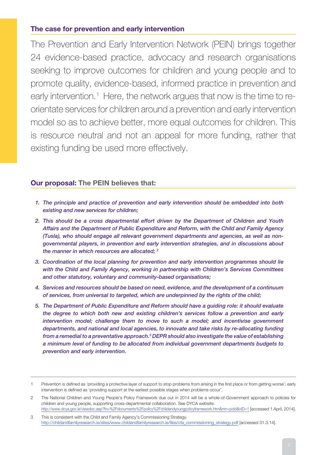## **The case for prevention and early intervention**

The Prevention and Early Intervention Network (PEIN) brings together 24 evidence-based practice, advocacy and research organisations seeking to improve outcomes for children and young people and to promote quality, evidence-based, informed practice in prevention and early intervention.<sup>1</sup> Here, the network argues that now is the time to reorientate services for children around a prevention and early intervention model so as to achieve better, more equal outcomes for children. This is resource neutral and not an appeal for more funding, rather that existing funding be used more effectively.

## **Our proposal: The PEIN believes that:**

- *1. The principle and practice of prevention and early intervention should be embedded into both existing and new services for children;*
- *2. This should be a cross departmental effort driven by the Department of Children and Youth Affairs and the Department of Public Expenditure and Reform, with the Child and Family Agency (Tusla), who should engage all relevant government departments and agencies, as well as nongovernmental players, in prevention and early intervention strategies, and in discussions about the manner in which resources are allocated; 2*
- *3. Coordination of the local planning for prevention and early intervention programmes should lie with the Child and Family Agency, working in partnership with Children's Services Committees and other statutory, voluntary and community-based organisations;*
- *4. Services and resources should be based on need, evidence, and the development of a continuum of services, from universal to targeted, which are underpinned by the rights of the child;*
- *5. The Department of Public Expenditure and Reform should have a guiding role: it should evaluate the degree to which both new and existing children's services follow a prevention and early intervention model; challenge them to move to such a model; and incentivise government*  departments, and national and local agencies, to innovate and take risks by re-allocating funding *from a remedial to a preventative approach.3 DEPR should also investigate the value of establishing a minimum level of funding to be allocated from individual government departments budgets to prevention and early intervention.*

<sup>1</sup> Prevention is defined as 'providing a protective layer of support to stop problems from arising in the first place or from getting worse'; early intervention is defined as 'providing support at the earliest possible stages when problems occur'.

<sup>2</sup> The National Children and Young People's Policy Framework due out in 2014 will be a whole-of-Government approach to policies for children and young people, supporting cross-departmental collaboration. See DYCA website: http://www.dcya.gov.ie/viewdoc.asp?fn=%2Fdocuments%2Fpolicy%2Fchildandyoungpolicyframework.htm&mn=pold&nID=1 [accessed 1 April, 2014].

<sup>3</sup> This is consistent with the Child and Family Agency's Commissioning Strategy. http://childandfamilyresearch.ie/sites/www.childandfamilyresearch.ie/files/cfa\_commissioning\_strategy.pdf [accessed 31.3.14].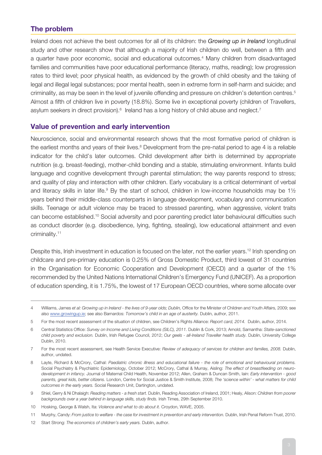#### **The problem**

Ireland does not achieve the best outcomes for all of its children: the *Growing up in Ireland* longitudinal study and other research show that although a majority of Irish children do well, between a fifth and a quarter have poor economic, social and educational outcomes.<sup>4</sup> Many children from disadvantaged families and communities have poor educational performance (literacy, maths, reading); low progression rates to third level; poor physical health, as evidenced by the growth of child obesity and the taking of legal and illegal legal substances; poor mental health, seen in extreme form in self-harm and suicide; and criminality, as may be seen in the level of juvenile offending and pressure on children's detention centres.<sup>5</sup> Almost a fifth of children live in poverty (18.8%). Some live in exceptional poverty (children of Travellers, asylum seekers in direct provision). $6$  Ireland has a long history of child abuse and neglect.<sup>7</sup>

#### **Value of prevention and early intervention**

Neuroscience, social and environmental research shows that the most formative period of children is the earliest months and years of their lives.<sup>8</sup> Development from the pre-natal period to age 4 is a reliable indicator for the child's later outcomes. Child development after birth is determined by appropriate nutrition (e.g. breast-feeding), mother-child bonding and a stable, stimulating environment. Infants build language and cognitive development through parental stimulation; the way parents respond to stress; and quality of play and interaction with other children. Early vocabulary is a critical determinant of verbal and literacy skills in later life.<sup>9</sup> By the start of school, children in low-income households may be 1 $\frac{1}{2}$ years behind their middle-class counterparts in language development, vocabulary and communication skills. Teenage or adult violence may be traced to stressed parenting, when aggressive, violent traits can become established.10 Social adversity and poor parenting predict later behavioural difficulties such as conduct disorder (e.g. disobedience, lying, fighting, stealing), low educational attainment and even criminality.11

Despite this, Irish investment in education is focused on the later, not the earlier years.<sup>12</sup> Irish spending on childcare and pre-primary education is 0.25% of Gross Domestic Product, third lowest of 31 countries in the Organisation for Economic Cooperation and Development (OECD) and a quarter of the 1% recommended by the United Nations International Children's Emergency Fund (UNICEF). As a proportion of education spending, it is 1.75%, the lowest of 17 European OECD countries, where some allocate over

- 9 Shiel, Gerry & Ni Dhalaigh: *Reading matters a fresh start.* Dublin, Reading Association of Ireland, 2001; Healy, Alison: *Children from poorer backgrounds over a year behind in language skills, study finds.* Irish Times, 29th September 2010.
- 10 Hosking, George & Walsh, Ita: *Violence and what to do about it.* Croydon, WAVE, 2005.
- 11 Murphy, Candy: *From justice to welfare the case for investment in prevention and early intervention.* Dublin, Irish Penal Reform Trust, 2010.
- 12 Start Strong: *The economics of children's early years.* Dublin, author.

<sup>4</sup> Williams, James *et al: Growing up in Ireland - the lives of 9-year olds; Dublin,* Office for the Minister of Children and Youth Affairs, 2009; see also [www.growingup.ie](http://www.growingup.ie); see also Barnardos: *Tomorrow's child in an age of austerity.* Dublin, author, 2011.

<sup>5</sup> For the most recent assessment of the situation of children, see Children's Rights Alliance: *Report card, 2014.* Dublin, author, 2014.

<sup>6</sup> Central Statistics Office: *Survey on Income and Living Conditions (SILC), 2011.* Dublin & Cork, 2013; Arnold, Samantha: *State-sanctioned child poverty and exclusion.* Dublin, Irish Refugee Council, 2012; *Our geels - all-Ireland Traveller health study.* Dublin, University College Dublin, 2010.

<sup>7</sup> For the most recent assessment, see Health Service Executive: *Review of adequacy of services for children and families, 2008.* Dublin, author, undated.

<sup>8</sup> Layte, Richard & McCrory, Cathal: *Paediatric chronic illness and educational failure - the role of emotional and behavioural problems.* Social Psychiatry & Psychiatric Epidemiology, October 2012; McCrory, Cathal & Murray, Aisling: *The effect of breastfeeding on neurodevelopment in infancy.* Journal of Maternal Child Health, November 2012; Allen, Graham & Duncan Smith, Iain: *Early intervention - good parents, great kids, better citizens.* London, Centre for Social Justice & Smith Institute, 2008; *The 'science within' - what matters for child outcomes in the early years.* Social Research Unit, Dartington, undated.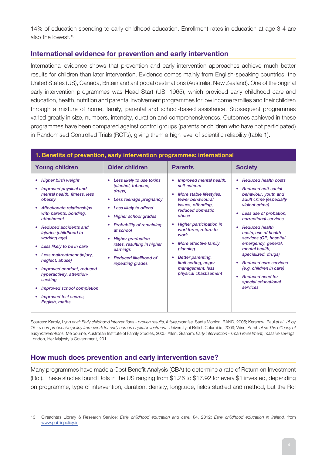14% of education spending to early childhood education. Enrollment rates in education at age 3-4 are also the lowest.13

## **International evidence for prevention and early intervention**

International evidence shows that prevention and early intervention approaches achieve much better results for children than later intervention. Evidence comes mainly from English-speaking countries: the United States (US), Canada, Britain and antipodal destinations (Australia, New Zealand). One of the original early intervention programmes was Head Start (US, 1965), which provided early childhood care and education, health, nutrition and parental involvement programmes for low income families and their children through a mixture of home, family, parental and school-based assistance. Subsequent programmes varied greatly in size, numbers, intensity, duration and comprehensiveness. Outcomes achieved in these programmes have been compared against control groups (parents or children who have not participated) in Randomised Controlled Trials (RCTs), giving them a high level of scientific reliability (table 1).

| 1. Benefits of prevention, early intervention programmes: international                                                                                                                                                                                                                                                                                                                                                                                                    |                                                                                                                                                                                                                                                                                                                                                   |                                                                                                                                                                                                                                                                                                                                                      |                                                                                                                                                                                                                                                                                                                                                                                                                                                                                   |  |
|----------------------------------------------------------------------------------------------------------------------------------------------------------------------------------------------------------------------------------------------------------------------------------------------------------------------------------------------------------------------------------------------------------------------------------------------------------------------------|---------------------------------------------------------------------------------------------------------------------------------------------------------------------------------------------------------------------------------------------------------------------------------------------------------------------------------------------------|------------------------------------------------------------------------------------------------------------------------------------------------------------------------------------------------------------------------------------------------------------------------------------------------------------------------------------------------------|-----------------------------------------------------------------------------------------------------------------------------------------------------------------------------------------------------------------------------------------------------------------------------------------------------------------------------------------------------------------------------------------------------------------------------------------------------------------------------------|--|
| <b>Young children</b>                                                                                                                                                                                                                                                                                                                                                                                                                                                      | <b>Older children</b>                                                                                                                                                                                                                                                                                                                             | <b>Parents</b>                                                                                                                                                                                                                                                                                                                                       | <b>Society</b>                                                                                                                                                                                                                                                                                                                                                                                                                                                                    |  |
| <b>Higher birth weight</b><br>Improved physical and<br>mental health, fitness, less<br>obesity<br>Affectionate relationships<br>with parents, bonding,<br>attachment<br><b>Reduced accidents and</b><br>injuries (childhood to<br>working age)<br>Less likely to be in care<br>Less maltreatment (injury,<br>neglect, abuse)<br>Improved conduct, reduced<br>hyperactivity, attention-<br>seeking<br>Improved school completion<br>Improved test scores,<br>English, maths | Less likely to use toxins<br>(alcohol, tobacco,<br>drugs)<br>Less teenage pregnancy<br>$\bullet$<br>Less likely to offend<br>٠<br><b>Higher school grades</b><br><b>Probability of remaining</b><br>at school<br><b>Higher graduation</b><br>٠<br>rates, resulting in higher<br>earnings<br><b>Reduced likelihood of</b><br>٠<br>repeating grades | Improved mental health,<br>self-esteem<br>More stable lifestyles,<br>۰<br>fewer behavioural<br>issues, offending,<br>reduced domestic<br>abuse<br>Higher participation in<br>workforce, return to<br>work<br>More effective family<br>planning<br><b>Better parenting,</b><br>۰<br>limit setting, anger<br>management, less<br>physical chastisement | <b>Reduced health costs</b><br><b>Reduced anti-social</b><br>$\bullet$<br>behaviour, youth and<br>adult crime (especially<br>violent crime)<br>Less use of probation,<br>correctional services<br><b>Reduced health</b><br>۰<br>costs, use of health<br>services (GP, hospital<br>emergency, general,<br>mental health.<br>specialized, drugs)<br><b>Reduced care services</b><br>۰<br>(e.g. children in care)<br><b>Reduced need for</b><br>۰<br>special educational<br>services |  |
|                                                                                                                                                                                                                                                                                                                                                                                                                                                                            |                                                                                                                                                                                                                                                                                                                                                   |                                                                                                                                                                                                                                                                                                                                                      |                                                                                                                                                                                                                                                                                                                                                                                                                                                                                   |  |

Sources: Karoly, Lynn *et al: Early childhood interventions - proven results, future promise.* Santa Monica, RAND, 2005; Kershaw, Paul *et al: 15 by 15 - a comprehensive policy framework for early human capital investment.* University of British Columbia, 2009; Wise, Sarah *et al: The efficacy of early interventions.* Melbourne, Australian Institute of Family Studies, 2005; Allen, Graham: *Early intervention - smart investment, massive savings.* London, Her Majesty's Government, 2011.

#### **How much does prevention and early intervention save?**

Many programmes have made a Cost Benefit Analysis (CBA) to determine a rate of Return on Investment (RoI). These studies found RoIs in the US ranging from \$1.26 to \$17.92 for every \$1 invested, depending on programme, type of intervention, duration, density, longitude, fields studied and method, but the RoI

<sup>13</sup> Oireachtas Library & Research Service: *Early childhood education and care.* §4, 2012; *Early childhood education in Ireland,* from [www.publicpolicy.ie](http://www.publicpolicy.ie)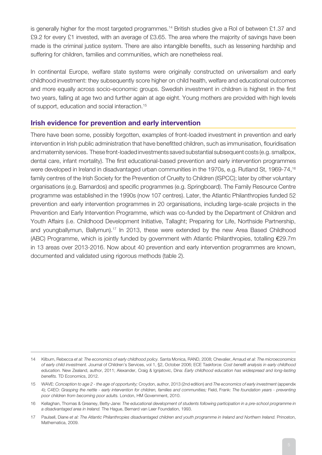is generally higher for the most targeted programmes.<sup>14</sup> British studies give a RoI of between £1.37 and £9.2 for every £1 invested, with an average of £3.65. The area where the majority of savings have been made is the criminal justice system. There are also intangible benefits, such as lessening hardship and suffering for children, families and communities, which are nonetheless real.

In continental Europe, welfare state systems were originally constructed on universalism and early childhood investment: they subsequently score higher on child health, welfare and educational outcomes and more equally across socio-economic groups. Swedish investment in children is highest in the first two years, falling at age two and further again at age eight. Young mothers are provided with high levels of support, education and social interaction.15

#### **Irish evidence for prevention and early intervention**

There have been some, possibly forgotten, examples of front-loaded investment in prevention and early intervention in Irish public administration that have benefitted children, such as immunisation, flouridisation and maternity services. These front-loaded investments saved substantial subsequent costs (e.g. smallpox, dental care, infant mortality). The first educational-based prevention and early intervention programmes were developed in Ireland in disadvantaged urban communities in the 1970s, e.g. Rutland St, 1969-74,<sup>16</sup> family centres of the Irish Society for the Prevention of Cruelty to Children (ISPCC); later by other voluntary organisations (e.g. Barnardos) and specific programmes (e.g. Springboard). The Family Resource Centre programme was established in the 1990s (now 107 centres). Later, the Atlantic Philanthropies funded 52 prevention and early intervention programmes in 20 organisations, including large-scale projects in the Prevention and Early Intervention Programme, which was co-funded by the Department of Children and Youth Affairs (i.e. Childhood Development Initiative, Tallaght; Preparing for Life, Northside Partnership, and youngballymun, Ballymun).<sup>17</sup> In 2013, these were extended by the new Area Based Childhood (ABC) Programme, which is jointly funded by government with Atlantic Philanthropies, totalling €29.7m in 13 areas over 2013-2016. Now about 40 prevention and early intervention programmes are known, documented and validated using rigorous methods (table 2).

<sup>14</sup> Kilburn, Rebecca *et al: The economics of early childhood policy.* Santa Monica, RAND, 2008; Chevalier, Arnaud *et al: The microeconomics of early child investment.* Journal of Children's Services, vol 1, §2, October 2006; ECE Taskforce: *Cost benefit analysis in early childhood education.* New Zealand, author, 2011; Alexander, Craig & Ignjatovic, Dina: *Early childhood education has widespread and long-lasting benefits.* TD Economics, 2012.

<sup>15</sup> WAVE: *Conception to age 2 - the age of opportunity;* Croydon, author, 2013 (2nd edition) and *The economics of early investment* (appendix 4); C4EO: *Grasping the nettle - early intervention for children, families and communities;* Field, Frank: *The foundation years - preventing poor children from becoming poor adults.* London, HM Government, 2010.

<sup>16</sup> Kellaghan, Thomas & Greaney, Betty-Jane: *The educational development of students following participation in a pre-school programme in a disadvantaged area in Ireland.* The Hague, Bernard van Leer Foundation, 1993.

<sup>17</sup> Paulsell, Diane *et al: The Atlantic Philanthropies disadvantaged children and youth programme in Ireland and Northern Ireland.* Princeton, Mathematica, 2009.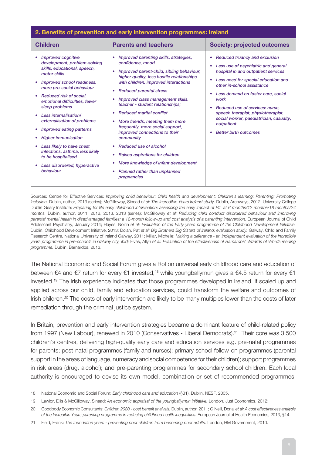#### **2. Benefits of prevention and early intervention programmes: Ireland**

| <b>Children</b>                                                                                                                                                                                                                                                                                                                                                                                                                                                                                                                        | <b>Parents and teachers</b>                                                                                                                                                                                                                                                                                                                                                                                                                                                                                                                                                                                                     | <b>Society: projected outcomes</b>                                                                                                                                                                                                                                                                                                                                                                                |
|----------------------------------------------------------------------------------------------------------------------------------------------------------------------------------------------------------------------------------------------------------------------------------------------------------------------------------------------------------------------------------------------------------------------------------------------------------------------------------------------------------------------------------------|---------------------------------------------------------------------------------------------------------------------------------------------------------------------------------------------------------------------------------------------------------------------------------------------------------------------------------------------------------------------------------------------------------------------------------------------------------------------------------------------------------------------------------------------------------------------------------------------------------------------------------|-------------------------------------------------------------------------------------------------------------------------------------------------------------------------------------------------------------------------------------------------------------------------------------------------------------------------------------------------------------------------------------------------------------------|
| <b>Improved cognitive</b><br>$\bullet$<br>development, problem-solving<br>skills, educational, speech,<br>motor skills<br>Improved school readiness,<br>more pro-social behaviour<br>Reduced risk of social,<br>$\bullet$<br>emotional difficulties, fewer<br>sleep problems<br>Less internalisation/<br>externalisation of problems<br>Improved eating patterns<br><b>Higher immunisation</b><br>۰<br>Less likely to have chest<br>infections, asthma, less likely<br>to be hospitalised<br>Less disordered, hyperactive<br>behaviour | Improved parenting skills, strategies,<br>confidence, mood<br>Improved parent-child, sibling behaviour,<br>higher quality, less hostile relationships<br>with children, improved interactions<br><b>Reduced parental stress</b><br>Improved class management skills,<br>teacher - student relationships;<br><b>Reduced marital conflict</b><br>More friends, meeting them more<br>frequently, more social support,<br>improved connections to their<br>community<br>Reduced use of alcohol<br>Raised aspirations for children<br>۰<br>More knowledge of infant development<br>Planned rather than unplanned<br>۰<br>pregnancies | <b>Reduced truancy and exclusion</b><br>۰<br>Less use of psychiatric and general<br>hospital in and outpatient services<br>Less need for special education and<br>other in-school assistance<br>Less demand on foster care, social<br>work<br>Reduced use of services: nurse.<br>٠<br>speech therapist, physiotherapist,<br>social worker, paediatrician, casualty,<br>outpatient<br><b>Better birth outcomes</b> |
|                                                                                                                                                                                                                                                                                                                                                                                                                                                                                                                                        |                                                                                                                                                                                                                                                                                                                                                                                                                                                                                                                                                                                                                                 |                                                                                                                                                                                                                                                                                                                                                                                                                   |

Sources: Centre for Effective Services: *Improving child behaviour; Child health and development; Children's learning; Parenting; Promoting inclusion.* Dublin, author, 2013 (series); McGilloway, Sinead *et al: The Incredible Years Ireland study.* Dublin, Archways, 2012; University College Dublin Geary Institute: *Preparing for life early childhood intervention: assessing the early impact of PfL at 6 months/12 months/18 months/24 months.* Dublin, author, 2011, 2012, 2013, 2013 (series); McGilloway *et al: Reducing child conduct disordered behaviour and improving parental mental health in disadvantaged families: a 12-month follow-up and cost analysis of a parenting intervention.* European Journal of Child Adolescent Psychiatry, January 2014; Hayes, Noirin *et al: Evaluation of the Early years programme of the Childhood Development Initiative.* Dublin, Childhood Development Initiative, 2013; Dolan, Pat *et al: Big Brothers Big Sisters of Ireland: evaluation study.* Galway, Child and Family Research Centre, National University of Ireland Galway, 2011; Millar, Michelle: *Making a difference - an independent evaluation of the Incredible years programme in pre-schools in Galway city, ibid;* Fives, Allyn *et al: Evaluation of the effectiveness of Barnardos' Wizards of Words reading programme.* Dublin, Barnardos, 2013.

The National Economic and Social Forum gives a RoI on universal early childhood care and education of between €4 and €7 return for every €1 invested,<sup>18</sup> while youngballymun gives a €4.5 return for every €1 invested.19 The Irish experience indicates that those programmes developed in Ireland, if scaled up and applied across our child, family and education services, could transform the welfare and outcomes of Irish children.<sup>20</sup> The costs of early intervention are likely to be many multiples lower than the costs of later remediation through the criminal justice system.

In Britain, prevention and early intervention strategies became a dominant feature of child-related policy from 1997 (New Labour), renewed in 2010 (Conservatives - Liberal Democrats).21 Their core was 3,500 children's centres, delivering high-quality early care and education services e.g. pre-natal programmes for parents; post-natal programmes (family and nurses); primary school follow-on programmes (parental support in the areas of language, numeracy and social competence for their children); support programmes in risk areas (drug, alcohol); and pre-parenting programmes for secondary school children. Each local authority is encouraged to devise its own model, combination or set of recommended programmes.

<sup>18</sup> National Economic and Social Forum: *Early childhood care and education* (§31). Dublin, NESF, 2005.

<sup>19</sup> Lawlor, Eilis & McGilloway, Sinead: *An economic appraisal of the youngballymun initiative.* London, Just Economics, 2012;

<sup>20</sup> Goodbody Economic Consultants: *Children 2020 - cost benefit analysis.* Dublin, author, 2011; O'Neill, Donal *et al: A cost effectiveness analysis of the Incredible Years parenting programme in reducing childhood health inequalities.* European Journal of Health Economics, 2013, §14.

<sup>21</sup> Field, Frank: *The foundation years - preventing poor children from becoming poor adults.* London, HM Government, 2010.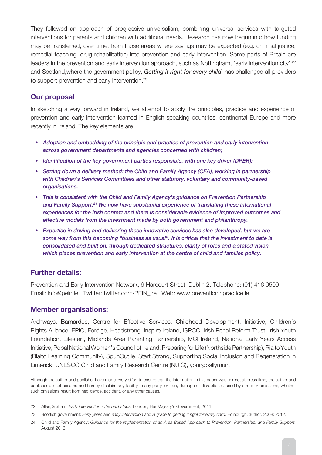They followed an approach of progressive universalism, combining universal services with targeted interventions for parents and children with additional needs. Research has now begun into how funding may be transferred, over time, from those areas where savings may be expected (e.g. criminal justice, remedial teaching, drug rehabilitation) into prevention and early intervention. Some parts of Britain are leaders in the prevention and early intervention approach, such as Nottingham, 'early intervention city';<sup>22</sup> and Scotland,where the government policy, *Getting it right for every child*, has challenged all providers to support prevention and early intervention.<sup>23</sup>

#### **Our proposal**

In sketching a way forward in Ireland, we attempt to apply the principles, practice and experience of prevention and early intervention learned in English-speaking countries, continental Europe and more recently in Ireland. The key elements are:

- *• Adoption and embedding of the principle and practice of prevention and early intervention across government departments and agencies concerned with children;*
- *• Identification of the key government parties responsible, with one key driver (DPER);*
- Setting down a delivery method: the Child and Family Agency (CFA), working in partnership *with Children's Services Committees and other statutory, voluntary and community-based organisations.*
- *• This is consistent with the Child and Family Agency's guidance on Prevention Partnership and Family Support.24 We now have substantial experience of translating these international experiences for the Irish context and there is considerable evidence of improved outcomes and effective models from the investment made by both government and philanthropy.*
- *• Expertise in driving and delivering these innovative services has also developed, but we are some way from this becoming "business as usual". It is critical that the investment to date is consolidated and built on, through dedicated structures, clarity of roles and a stated vision which places prevention and early intervention at the centre of child and families policy.*

#### **Further details:**

Prevention and Early Intervention Network, 9 Harcourt Street, Dublin 2. Telephone: (01) 416 0500 Email: info@pein.ie Twitter: twitter.com/PEIN\_Ire Web: www.preventioninpractice.ie

#### **Member organisations:**

Archways, Barnardos, Centre for Effective Services, Childhood Development, Initiative, Children's Rights Alliance, EPIC, Foróige, Headstrong, Inspire Ireland, ISPCC, Irish Penal Reform Trust, Irish Youth Foundation, Lifestart, Midlands Area Parenting Partnership, MCI Ireland, National Early Years Access Initiative, Pobal National Women's Council of Ireland, Preparing for Life (Northside Partnership), Rialto Youth (Rialto Learning Community), SpunOut.ie, Start Strong, Supporting Social Inclusion and Regeneration in Limerick, UNESCO Child and Family Research Centre (NUIG), youngballymun.

Although the author and publisher have made every effort to ensure that the information in this paper was correct at press time, the author and publisher do not assume and hereby disclaim any liability to any party for loss, damage or disruption caused by errors or omissions, whether such omissions result from negligence, accident, or any other causes.

<sup>22</sup> Allen,Graham: *Early intervention - the next steps.* London, Her Majesty's Government, 2011.

<sup>23</sup> Scottish government: *Early years* and *early intervention* and *A guide to getting it right for every child.* Edinburgh, author, 2008; 2012.

<sup>24</sup> Child and Family Agency: *Guidance for the Implementation of an Area Based Approach to Prevention, Partnership, and Family Support,*  August 2013.